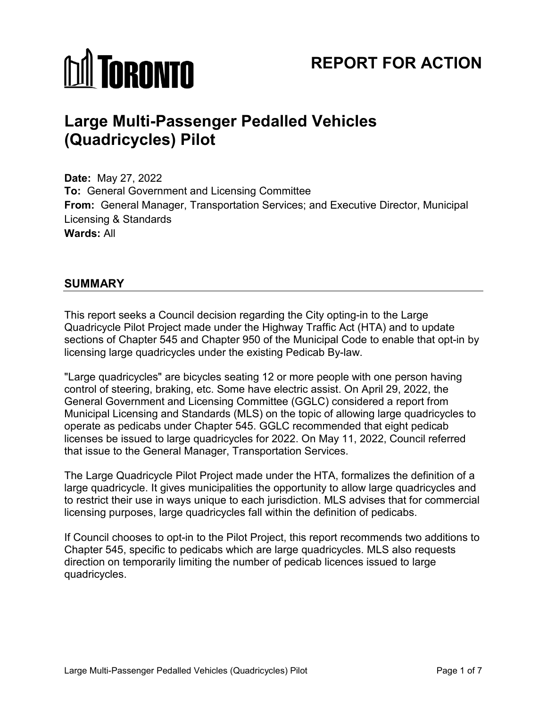# **M** TORONTO

# **REPORT FOR ACTION**

# **Large Multi-Passenger Pedalled Vehicles (Quadricycles) Pilot**

**Date:** May 27, 2022 **To:** General Government and Licensing Committee **From:** General Manager, Transportation Services; and Executive Director, Municipal Licensing & Standards **Wards:** All

### **SUMMARY**

This report seeks a Council decision regarding the City opting-in to the Large Quadricycle Pilot Project made under the Highway Traffic Act (HTA) and to update sections of Chapter 545 and Chapter 950 of the Municipal Code to enable that opt-in by licensing large quadricycles under the existing Pedicab By-law.

"Large quadricycles" are bicycles seating 12 or more people with one person having control of steering, braking, etc. Some have electric assist. On April 29, 2022, the General Government and Licensing Committee (GGLC) considered a report from Municipal Licensing and Standards (MLS) on the topic of allowing large quadricycles to operate as pedicabs under Chapter 545. GGLC recommended that eight pedicab licenses be issued to large quadricycles for 2022. On May 11, 2022, Council referred that issue to the General Manager, Transportation Services.

The Large Quadricycle Pilot Project made under the HTA, formalizes the definition of a large quadricycle. It gives municipalities the opportunity to allow large quadricycles and to restrict their use in ways unique to each jurisdiction. MLS advises that for commercial licensing purposes, large quadricycles fall within the definition of pedicabs.

If Council chooses to opt-in to the Pilot Project, this report recommends two additions to Chapter 545, specific to pedicabs which are large quadricycles. MLS also requests direction on temporarily limiting the number of pedicab licences issued to large quadricycles.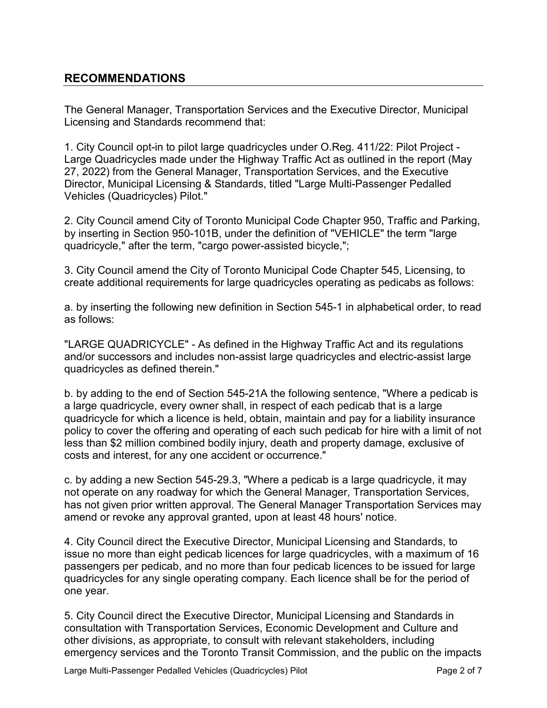### **RECOMMENDATIONS**

The General Manager, Transportation Services and the Executive Director, Municipal Licensing and Standards recommend that:

1. City Council opt-in to pilot large quadricycles under O.Reg. 411/22: Pilot Project - Large Quadricycles made under the Highway Traffic Act as outlined in the report (May 27, 2022) from the General Manager, Transportation Services, and the Executive Director, Municipal Licensing & Standards, titled "Large Multi-Passenger Pedalled Vehicles (Quadricycles) Pilot."

2. City Council amend City of Toronto Municipal Code Chapter 950, Traffic and Parking, by inserting in Section 950-101B, under the definition of "VEHICLE" the term "large quadricycle," after the term, "cargo power-assisted bicycle,";

3. City Council amend the City of Toronto Municipal Code Chapter 545, Licensing, to create additional requirements for large quadricycles operating as pedicabs as follows:

a. by inserting the following new definition in Section 545-1 in alphabetical order, to read as follows:

"LARGE QUADRICYCLE" - As defined in the Highway Traffic Act and its regulations and/or successors and includes non-assist large quadricycles and electric-assist large quadricycles as defined therein."

b. by adding to the end of Section 545-21A the following sentence, "Where a pedicab is a large quadricycle, every owner shall, in respect of each pedicab that is a large quadricycle for which a licence is held, obtain, maintain and pay for a liability insurance policy to cover the offering and operating of each such pedicab for hire with a limit of not less than \$2 million combined bodily injury, death and property damage, exclusive of costs and interest, for any one accident or occurrence."

c. by adding a new Section 545-29.3, "Where a pedicab is a large quadricycle, it may not operate on any roadway for which the General Manager, Transportation Services, has not given prior written approval. The General Manager Transportation Services may amend or revoke any approval granted, upon at least 48 hours' notice.

4. City Council direct the Executive Director, Municipal Licensing and Standards, to issue no more than eight pedicab licences for large quadricycles, with a maximum of 16 passengers per pedicab, and no more than four pedicab licences to be issued for large quadricycles for any single operating company. Each licence shall be for the period of one year.

5. City Council direct the Executive Director, Municipal Licensing and Standards in consultation with Transportation Services, Economic Development and Culture and other divisions, as appropriate, to consult with relevant stakeholders, including emergency services and the Toronto Transit Commission, and the public on the impacts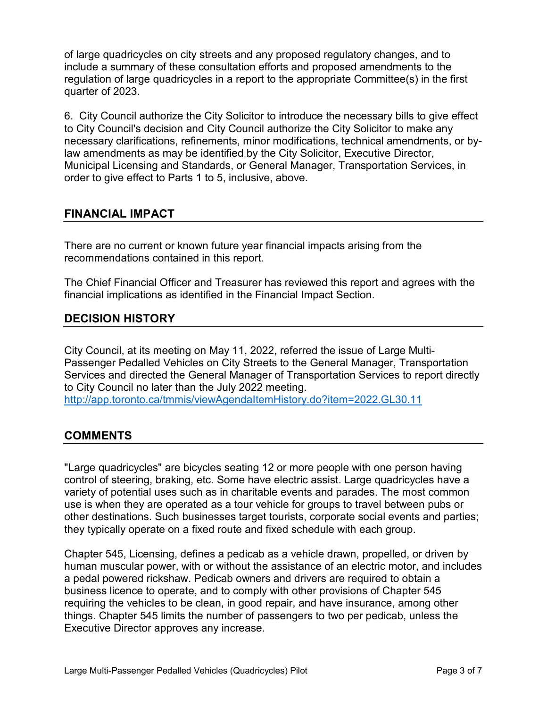of large quadricycles on city streets and any proposed regulatory changes, and to include a summary of these consultation efforts and proposed amendments to the regulation of large quadricycles in a report to the appropriate Committee(s) in the first quarter of 2023.

6. City Council authorize the City Solicitor to introduce the necessary bills to give effect to City Council's decision and City Council authorize the City Solicitor to make any necessary clarifications, refinements, minor modifications, technical amendments, or bylaw amendments as may be identified by the City Solicitor, Executive Director, Municipal Licensing and Standards, or General Manager, Transportation Services, in order to give effect to Parts 1 to 5, inclusive, above.

#### **FINANCIAL IMPACT**

There are no current or known future year financial impacts arising from the recommendations contained in this report.

The Chief Financial Officer and Treasurer has reviewed this report and agrees with the financial implications as identified in the Financial Impact Section.

# **DECISION HISTORY**

City Council, at its meeting on May 11, 2022, referred the issue of Large Multi-Passenger Pedalled Vehicles on City Streets to the General Manager, Transportation Services and directed the General Manager of Transportation Services to report directly to City Council no later than the July 2022 meeting. <http://app.toronto.ca/tmmis/viewAgendaItemHistory.do?item=2022.GL30.11>

# **COMMENTS**

"Large quadricycles" are bicycles seating 12 or more people with one person having control of steering, braking, etc. Some have electric assist. Large quadricycles have a variety of potential uses such as in charitable events and parades. The most common use is when they are operated as a tour vehicle for groups to travel between pubs or other destinations. Such businesses target tourists, corporate social events and parties; they typically operate on a fixed route and fixed schedule with each group.

Chapter 545, Licensing, defines a pedicab as a vehicle drawn, propelled, or driven by human muscular power, with or without the assistance of an electric motor, and includes a pedal powered rickshaw. Pedicab owners and drivers are required to obtain a business licence to operate, and to comply with other provisions of Chapter 545 requiring the vehicles to be clean, in good repair, and have insurance, among other things. Chapter 545 limits the number of passengers to two per pedicab, unless the Executive Director approves any increase.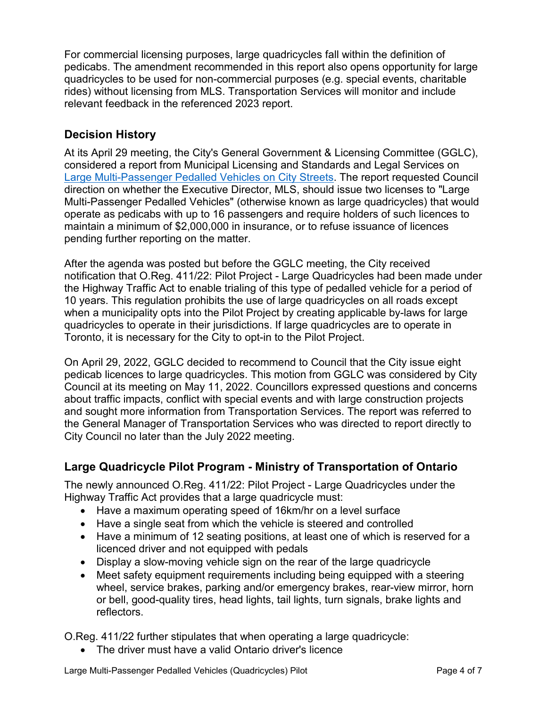For commercial licensing purposes, large quadricycles fall within the definition of pedicabs. The amendment recommended in this report also opens opportunity for large quadricycles to be used for non-commercial purposes (e.g. special events, charitable rides) without licensing from MLS. Transportation Services will monitor and include relevant feedback in the referenced 2023 report.

# **Decision History**

At its April 29 meeting, the City's General Government & Licensing Committee (GGLC), considered a report from Municipal Licensing and Standards and Legal Services on [Large Multi-Passenger Pedalled Vehicles on City Streets.](http://app.toronto.ca/tmmis/viewAgendaItemHistory.do?item=2022.GL30.11) The report requested Council direction on whether the Executive Director, MLS, should issue two licenses to "Large Multi-Passenger Pedalled Vehicles" (otherwise known as large quadricycles) that would operate as pedicabs with up to 16 passengers and require holders of such licences to maintain a minimum of \$2,000,000 in insurance, or to refuse issuance of licences pending further reporting on the matter.

After the agenda was posted but before the GGLC meeting, the City received notification that O.Reg. 411/22: Pilot Project - Large Quadricycles had been made under the Highway Traffic Act to enable trialing of this type of pedalled vehicle for a period of 10 years. This regulation prohibits the use of large quadricycles on all roads except when a municipality opts into the Pilot Project by creating applicable by-laws for large quadricycles to operate in their jurisdictions. If large quadricycles are to operate in Toronto, it is necessary for the City to opt-in to the Pilot Project.

On April 29, 2022, GGLC decided to recommend to Council that the City issue eight pedicab licences to large quadricycles. This motion from GGLC was considered by City Council at its meeting on May 11, 2022. Councillors expressed questions and concerns about traffic impacts, conflict with special events and with large construction projects and sought more information from Transportation Services. The report was referred to the General Manager of Transportation Services who was directed to report directly to City Council no later than the July 2022 meeting.

# **Large Quadricycle Pilot Program - Ministry of Transportation of Ontario**

The newly announced O.Reg. 411/22: Pilot Project - Large Quadricycles under the Highway Traffic Act provides that a large quadricycle must:

- Have a maximum operating speed of 16km/hr on a level surface
- Have a single seat from which the vehicle is steered and controlled
- Have a minimum of 12 seating positions, at least one of which is reserved for a licenced driver and not equipped with pedals
- Display a slow-moving vehicle sign on the rear of the large quadricycle
- Meet safety equipment requirements including being equipped with a steering wheel, service brakes, parking and/or emergency brakes, rear-view mirror, horn or bell, good-quality tires, head lights, tail lights, turn signals, brake lights and reflectors.

O.Reg. 411/22 further stipulates that when operating a large quadricycle:

• The driver must have a valid Ontario driver's licence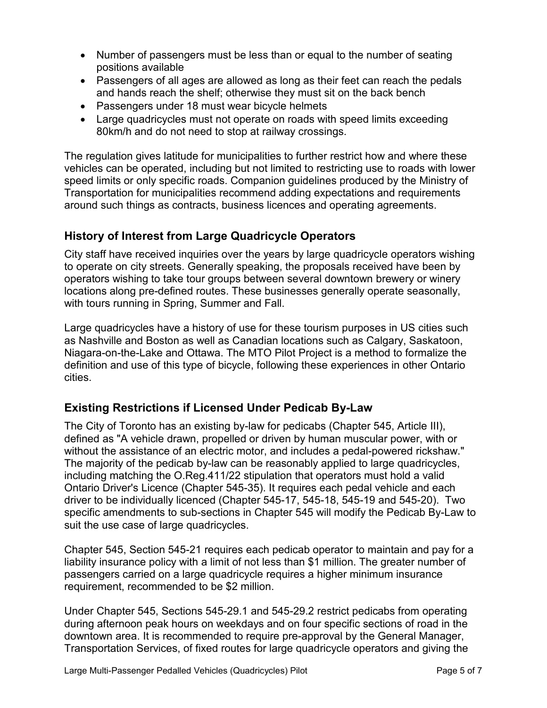- Number of passengers must be less than or equal to the number of seating positions available
- Passengers of all ages are allowed as long as their feet can reach the pedals and hands reach the shelf; otherwise they must sit on the back bench
- Passengers under 18 must wear bicycle helmets
- Large quadricycles must not operate on roads with speed limits exceeding 80km/h and do not need to stop at railway crossings.

The regulation gives latitude for municipalities to further restrict how and where these vehicles can be operated, including but not limited to restricting use to roads with lower speed limits or only specific roads. Companion guidelines produced by the Ministry of Transportation for municipalities recommend adding expectations and requirements around such things as contracts, business licences and operating agreements.

### **History of Interest from Large Quadricycle Operators**

City staff have received inquiries over the years by large quadricycle operators wishing to operate on city streets. Generally speaking, the proposals received have been by operators wishing to take tour groups between several downtown brewery or winery locations along pre-defined routes. These businesses generally operate seasonally, with tours running in Spring, Summer and Fall.

Large quadricycles have a history of use for these tourism purposes in US cities such as Nashville and Boston as well as Canadian locations such as Calgary, Saskatoon, Niagara-on-the-Lake and Ottawa. The MTO Pilot Project is a method to formalize the definition and use of this type of bicycle, following these experiences in other Ontario cities.

# **Existing Restrictions if Licensed Under Pedicab By-Law**

The City of Toronto has an existing by-law for pedicabs (Chapter 545, Article III), defined as "A vehicle drawn, propelled or driven by human muscular power, with or without the assistance of an electric motor, and includes a pedal-powered rickshaw." The majority of the pedicab by-law can be reasonably applied to large quadricycles, including matching the O.Reg.411/22 stipulation that operators must hold a valid Ontario Driver's Licence (Chapter 545-35). It requires each pedal vehicle and each driver to be individually licenced (Chapter 545-17, 545-18, 545-19 and 545-20). Two specific amendments to sub-sections in Chapter 545 will modify the Pedicab By-Law to suit the use case of large quadricycles.

Chapter 545, Section 545-21 requires each pedicab operator to maintain and pay for a liability insurance policy with a limit of not less than \$1 million. The greater number of passengers carried on a large quadricycle requires a higher minimum insurance requirement, recommended to be \$2 million.

Under Chapter 545, Sections 545-29.1 and 545-29.2 restrict pedicabs from operating during afternoon peak hours on weekdays and on four specific sections of road in the downtown area. It is recommended to require pre-approval by the General Manager, Transportation Services, of fixed routes for large quadricycle operators and giving the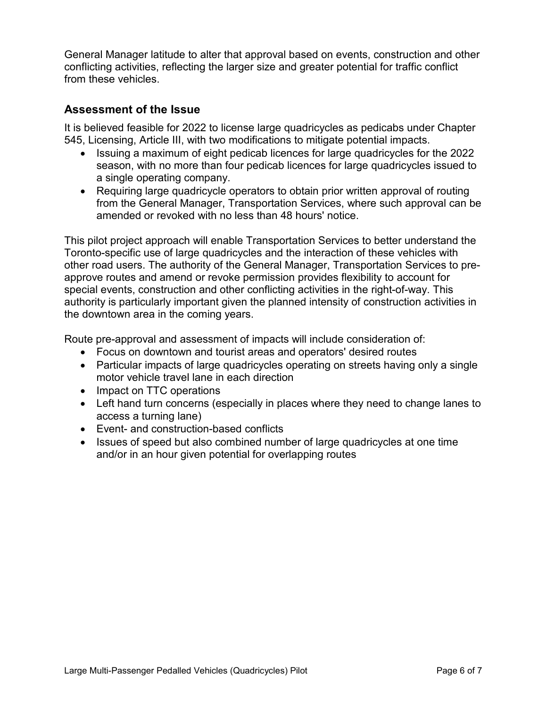General Manager latitude to alter that approval based on events, construction and other conflicting activities, reflecting the larger size and greater potential for traffic conflict from these vehicles.

## **Assessment of the Issue**

It is believed feasible for 2022 to license large quadricycles as pedicabs under Chapter 545, Licensing, Article III, with two modifications to mitigate potential impacts.

- Issuing a maximum of eight pedicab licences for large quadricycles for the 2022 season, with no more than four pedicab licences for large quadricycles issued to a single operating company.
- Requiring large quadricycle operators to obtain prior written approval of routing from the General Manager, Transportation Services, where such approval can be amended or revoked with no less than 48 hours' notice.

This pilot project approach will enable Transportation Services to better understand the Toronto-specific use of large quadricycles and the interaction of these vehicles with other road users. The authority of the General Manager, Transportation Services to preapprove routes and amend or revoke permission provides flexibility to account for special events, construction and other conflicting activities in the right-of-way. This authority is particularly important given the planned intensity of construction activities in the downtown area in the coming years.

Route pre-approval and assessment of impacts will include consideration of:

- Focus on downtown and tourist areas and operators' desired routes
- Particular impacts of large quadricycles operating on streets having only a single motor vehicle travel lane in each direction
- Impact on TTC operations
- Left hand turn concerns (especially in places where they need to change lanes to access a turning lane)
- Event- and construction-based conflicts
- Issues of speed but also combined number of large quadricycles at one time and/or in an hour given potential for overlapping routes